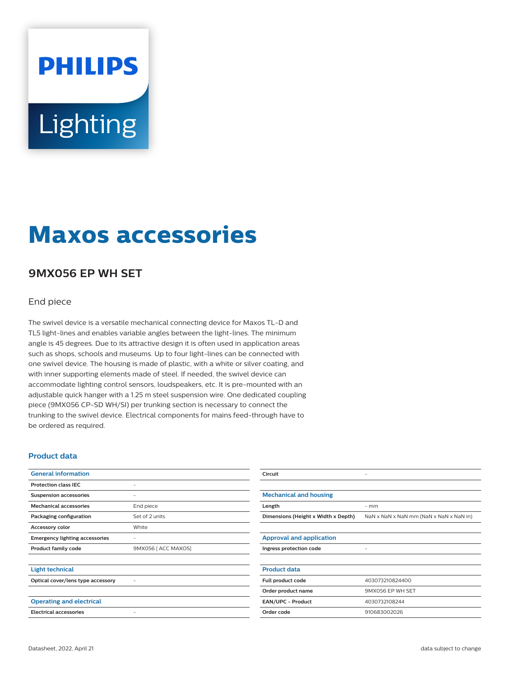# **PHILIPS** Lighting

## **Maxos accessories**

### **9MX056 EP WH SET**

#### End piece

The swivel device is a versatile mechanical connecting device for Maxos TL-D and TL5 light-lines and enables variable angles between the light-lines. The minimum angle is 45 degrees. Due to its attractive design it is often used in application areas such as shops, schools and museums. Up to four light-lines can be connected with one swivel device. The housing is made of plastic, with a white or silver coating, and with inner supporting elements made of steel. If needed, the swivel device can accommodate lighting control sensors, loudspeakers, etc. It is pre-mounted with an adjustable quick hanger with a 1.25 m steel suspension wire. One dedicated coupling piece (9MX056 CP-SD WH/SI) per trunking section is necessary to connect the trunking to the swivel device. Electrical components for mains feed-through have to be ordered as required.

#### **Product data**

| <b>General information</b>            |                          | Circuit                             |                                         |
|---------------------------------------|--------------------------|-------------------------------------|-----------------------------------------|
| <b>Protection class IEC</b>           |                          |                                     |                                         |
| <b>Suspension accessories</b>         |                          | <b>Mechanical and housing</b>       |                                         |
| <b>Mechanical accessories</b>         | End piece                | Length                              | $-$ mm                                  |
| Packaging configuration               | Set of 2 units           | Dimensions (Height x Width x Depth) | NaN x NaN x NaN mm (NaN x NaN x NaN in) |
| Accessory color                       | White                    |                                     |                                         |
| <b>Emergency lighting accessories</b> | $\overline{\phantom{m}}$ | <b>Approval and application</b>     |                                         |
| Product family code                   | 9MX056 [ ACC MAXOS]      | Ingress protection code             |                                         |
| <b>Light technical</b>                |                          | <b>Product data</b>                 |                                         |
| Optical cover/lens type accessory     |                          | Full product code                   | 403073210824400                         |
|                                       |                          | Order product name                  | 9MX056 EP WH SET                        |
| <b>Operating and electrical</b>       |                          | EAN/UPC - Product                   | 4030732108244                           |
| <b>Electrical accessories</b>         |                          | Order code                          | 910683002026                            |